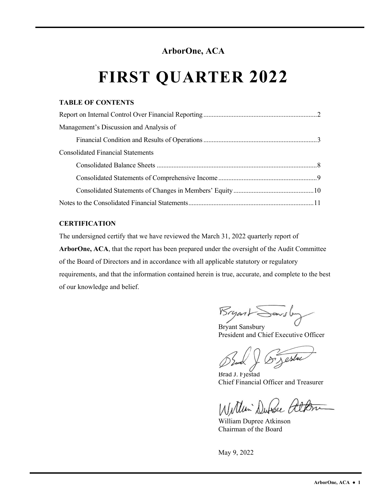#### **ArborOne, ACA**

# **FIRST QUARTER 2022**

#### **TABLE OF CONTENTS**

| Management's Discussion and Analysis of  |  |
|------------------------------------------|--|
|                                          |  |
| <b>Consolidated Financial Statements</b> |  |
|                                          |  |
|                                          |  |
|                                          |  |
|                                          |  |

#### **CERTIFICATION**

The undersigned certify that we have reviewed the March 31, 2022 quarterly report of

**ArborOne, ACA**, that the report has been prepared under the oversight of the Audit Committee of the Board of Directors and in accordance with all applicable statutory or regulatory requirements, and that the information contained herein is true, accurate, and complete to the best of our knowledge and belief.

**Bryant Sonsbury** 

President and Chief Executive Officer

8 Jestre

Brad J. Fjestad Chief Financial Officer and Treasurer

William Duble alton

William Dupree Atkinson Chairman of the Board

May 9, 2022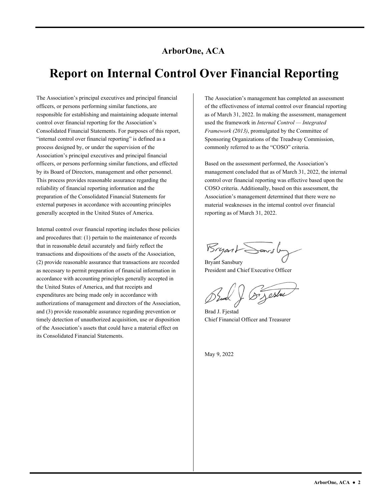#### **ArborOne, ACA**

### **Report on Internal Control Over Financial Reporting**

The Association's principal executives and principal financial officers, or persons performing similar functions, are responsible for establishing and maintaining adequate internal control over financial reporting for the Association's Consolidated Financial Statements. For purposes of this report, "internal control over financial reporting" is defined as a process designed by, or under the supervision of the Association's principal executives and principal financial officers, or persons performing similar functions, and effected by its Board of Directors, management and other personnel. This process provides reasonable assurance regarding the reliability of financial reporting information and the preparation of the Consolidated Financial Statements for external purposes in accordance with accounting principles generally accepted in the United States of America.

Internal control over financial reporting includes those policies and procedures that: (1) pertain to the maintenance of records that in reasonable detail accurately and fairly reflect the transactions and dispositions of the assets of the Association, (2) provide reasonable assurance that transactions are recorded as necessary to permit preparation of financial information in accordance with accounting principles generally accepted in the United States of America, and that receipts and expenditures are being made only in accordance with authorizations of management and directors of the Association, and (3) provide reasonable assurance regarding prevention or timely detection of unauthorized acquisition, use or disposition of the Association's assets that could have a material effect on its Consolidated Financial Statements.

The Association's management has completed an assessment of the effectiveness of internal control over financial reporting as of March 31, 2022. In making the assessment, management used the framework in *Internal Control — Integrated Framework (2013)*, promulgated by the Committee of Sponsoring Organizations of the Treadway Commission, commonly referred to as the "COSO" criteria.

 Association's management determined that there were no Based on the assessment performed, the Association's management concluded that as of March 31, 2022, the internal control over financial reporting was effective based upon the COSO criteria. Additionally, based on this assessment, the material weaknesses in the internal control over financial reporting as of March 31, 2022.

Bryant Sarsby

Bryant Sansbury President and Chief Executive Officer

Or Jestre

Brad J. Fjestad Chief Financial Officer and Treasurer

May 9, 2022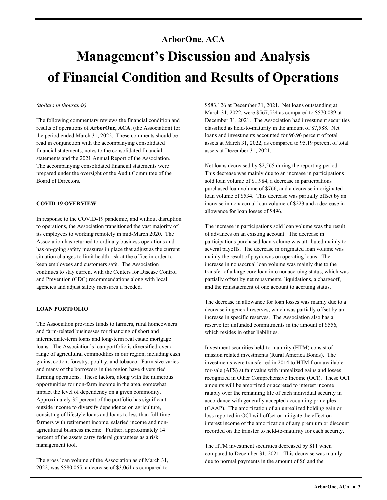## **ArborOne, ACA Management's Discussion and Analysis of Financial Condition and Results of Operations**

#### *(dollars in thousands)*

statements and the 2021 Annual Report of the Association. The following commentary reviews the financial condition and results of operations of **ArborOne, ACA**, (the Association) for the period ended March 31, 2022. These comments should be read in conjunction with the accompanying consolidated financial statements, notes to the consolidated financial The accompanying consolidated financial statements were prepared under the oversight of the Audit Committee of the Board of Directors.

#### **COVID-19 OVERVIEW**

 situation changes to limit health risk at the office in order to keep employees and customers safe. The Association agencies and adjust safety measures if needed. In response to the COVID-19 pandemic, and without disruption to operations, the Association transitioned the vast majority of its employees to working remotely in mid-March 2020. The Association has returned to ordinary business operations and has on-going safety measures in place that adjust as the current continues to stay current with the Centers for Disease Control and Prevention (CDC) recommendations along with local

#### **LOAN PORTFOLIO**

The Association provides funds to farmers, rural homeowners and farm-related businesses for financing of short and intermediate-term loans and long-term real estate mortgage loans. The Association's loan portfolio is diversified over a range of agricultural commodities in our region, including cash grains, cotton, forestry, poultry, and tobacco. Farm size varies and many of the borrowers in the region have diversified farming operations. These factors, along with the numerous opportunities for non-farm income in the area, somewhat impact the level of dependency on a given commodity. Approximately 35 percent of the portfolio has significant outside income to diversify dependence on agriculture, consisting of lifestyle loans and loans to less than full-time farmers with retirement income, salaried income and nonagricultural business income. Further, approximately 14 percent of the assets carry federal guarantees as a risk management tool.

The gross loan volume of the Association as of March 31, 2022, was \$580,065, a decrease of \$3,061 as compared to

\$583,126 at December 31, 2021. Net loans outstanding at March 31, 2022, were \$567,524 as compared to \$570,089 at December 31, 2021. The Association had investment securities classified as held-to-maturity in the amount of \$7,588. Net loans and investments accounted for 96.96 percent of total assets at March 31, 2022, as compared to 95.19 percent of total assets at December 31, 2021.

 loan volume of \$534. This decrease was partially offset by an Net loans decreased by \$2,565 during the reporting period. This decrease was mainly due to an increase in participations sold loan volume of \$1,984, a decrease in participations purchased loan volume of \$766, and a decrease in originated increase in nonaccrual loan volume of \$223 and a decrease in allowance for loan losses of \$496.

 participations purchased loan volume was attributed mainly to transfer of a large core loan into nonaccruing status, which was and the reinstatement of one account to accruing status. The increase in participations sold loan volume was the result of advances on an existing account. The decrease in several payoffs. The decrease in originated loan volume was mainly the result of paydowns on operating loans. The increase in nonaccrual loan volume was mainly due to the partially offset by net repayments, liquidations, a chargeoff,

 decrease in general reserves, which was partially offset by an increase in specific reserves. The Association also has a The decrease in allowance for loan losses was mainly due to a reserve for unfunded commitments in the amount of \$556, which resides in other liabilities.

 for-sale (AFS) at fair value with unrealized gains and losses Investment securities held-to-maturity (HTM) consist of mission related investments (Rural America Bonds). The investments were transferred in 2014 to HTM from availablerecognized in Other Comprehensive Income (OCI). These OCI amounts will be amortized or accreted to interest income ratably over the remaining life of each individual security in accordance with generally accepted accounting principles (GAAP). The amortization of an unrealized holding gain or loss reported in OCI will offset or mitigate the effect on interest income of the amortization of any premium or discount recorded on the transfer to held-to-maturity for each security.

The HTM investment securities decreased by \$11 when compared to December 31, 2021. This decrease was mainly due to normal payments in the amount of \$6 and the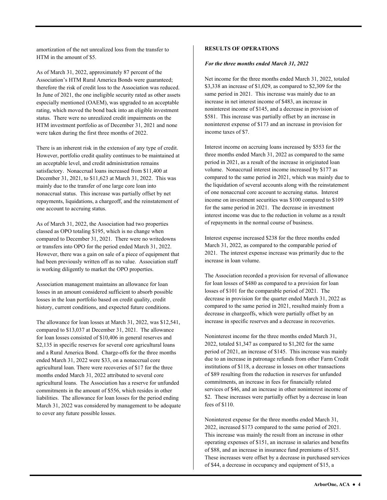amortization of the net unrealized loss from the transfer to HTM in the amount of \$5.

As of March 31, 2022, approximately 87 percent of the Association's HTM Rural America Bonds were guaranteed; therefore the risk of credit loss to the Association was reduced. In June of 2021, the one ineligible security rated as other assets especially mentioned (OAEM), was upgraded to an acceptable rating, which moved the bond back into an eligible investment status. There were no unrealized credit impairments on the HTM investment portfolio as of December 31, 2021 and none were taken during the first three months of 2022.

There is an inherent risk in the extension of any type of credit. However, portfolio credit quality continues to be maintained at an acceptable level, and credit administration remains satisfactory. Nonaccrual loans increased from \$11,400 at December 31, 2021, to \$11,623 at March 31, 2022. This was mainly due to the transfer of one large core loan into nonaccrual status. This increase was partially offset by net repayments, liquidations, a chargeoff, and the reinstatement of one account to accruing status.

 or transfers into OPO for the period ended March 31, 2022. As of March 31, 2022, the Association had two properties classed as OPO totaling \$195, which is no change when compared to December 31, 2021. There were no writedowns However, there was a gain on sale of a piece of equipment that had been previously written off as no value. Association staff is working diligently to market the OPO properties.

 Association management maintains an allowance for loan losses in an amount considered sufficient to absorb possible losses in the loan portfolio based on credit quality, credit history, current conditions, and expected future conditions.

 liabilities. The allowance for loan losses for the period ending to cover any future possible losses. The allowance for loan losses at March 31, 2022, was \$12,541, compared to \$13,037 at December 31, 2021. The allowance for loan losses consisted of \$10,406 in general reserves and \$2,135 in specific reserves for several core agricultural loans and a Rural America Bond. Charge-offs for the three months ended March 31, 2022 were \$33, on a nonaccrual core agricultural loan. There were recoveries of \$17 for the three months ended March 31, 2022 attributed to several core agricultural loans. The Association has a reserve for unfunded commitments in the amount of \$556, which resides in other March 31, 2022 was considered by management to be adequate CONTENT CONFERCT UNION CONFERCT ON EXTRAINSTING OF CONFERCT CONFERCT AND MANUFATH ON A A set of Manufath A set of Manufath A set of Manufath A set of Manufath A set of Manufath A set of Manufath A set of Manufath A set of

#### *For the three months ended March 31, 2022*

 same period in 2021. This increase was mainly due to an income taxes of \$7. Net income for the three months ended March 31, 2022, totaled \$3,338 an increase of \$1,029, as compared to \$2,309 for the increase in net interest income of \$483, an increase in noninterest income of \$145, and a decrease in provision of \$581. This increase was partially offset by an increase in noninterest expense of \$173 and an increase in provision for

Interest income on accruing loans increased by \$553 for the three months ended March 31, 2022 as compared to the same period in 2021, as a result of the increase in originated loan volume. Nonaccrual interest income increased by \$177 as compared to the same period in 2021, which was mainly due to the liquidation of several accounts along with the reinstatement of one nonaccrual core account to accruing status. Interest income on investment securities was \$100 compared to \$109 for the same period in 2021. The decrease in investment interest income was due to the reduction in volume as a result of repayments in the normal course of business.

Interest expense increased \$238 for the three months ended March 31, 2022, as compared to the comparable period of 2021. The interest expense increase was primarily due to the increase in loan volume.

 decrease in chargeoffs, which were partially offset by an increase in specific reserves and a decrease in recoveries. The Association recorded a provision for reversal of allowance for loan losses of \$480 as compared to a provision for loan losses of \$101 for the comparable period of 2021. The decrease in provision for the quarter ended March 31, 2022 as compared to the same period in 2021, resulted mainly from a

Noninterest income for the three months ended March 31, 2022, totaled \$1,347 as compared to \$1,202 for the same period of 2021, an increase of \$145. This increase was mainly due to an increase in patronage refunds from other Farm Credit institutions of \$118, a decrease in losses on other transactions of \$89 resulting from the reduction in reserves for unfunded commitments, an increase in fees for financially related services of \$46, and an increase in other noninterest income of \$2. These increases were partially offset by a decrease in loan fees of \$110.

Noninterest expense for the three months ended March 31, 2022, increased \$173 compared to the same period of 2021. This increase was mainly the result from an increase in other operating expenses of \$151, an increase in salaries and benefits of \$88, and an increase in insurance fund premiums of \$15. These increases were offset by a decrease in purchased services of \$44, a decrease in occupancy and equipment of \$15, a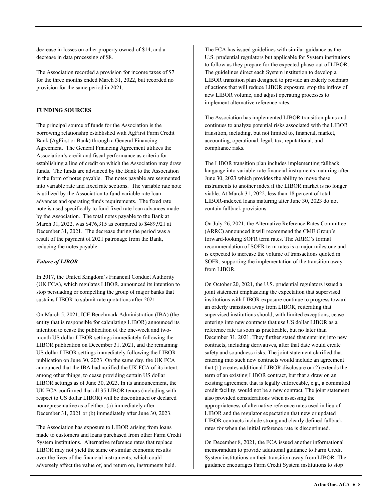decrease in losses on other property owned of \$14, and a decrease in data processing of \$8.

The Association recorded a provision for income taxes of \$7 for the three months ended March 31, 2022, but recorded no provision for the same period in 2021.

#### **FUNDING SOURCES**

 Agreement. The General Financing Agreement utilizes the The principal source of funds for the Association is the borrowing relationship established with AgFirst Farm Credit Bank (AgFirst or Bank) through a General Financing Association's credit and fiscal performance as criteria for establishing a line of credit on which the Association may draw funds. The funds are advanced by the Bank to the Association in the form of notes payable. The notes payable are segmented into variable rate and fixed rate sections. The variable rate note is utilized by the Association to fund variable rate loan advances and operating funds requirements. The fixed rate note is used specifically to fund fixed rate loan advances made by the Association. The total notes payable to the Bank at March 31, 2022, was \$476,315 as compared to \$489,921 at December 31, 2021. The decrease during the period was a result of the payment of 2021 patronage from the Bank, reducing the notes payable.

#### *Future of LIBOR*

In 2017, the United Kingdom's Financial Conduct Authority (UK FCA), which regulates LIBOR, announced its intention to stop persuading or compelling the group of major banks that sustains LIBOR to submit rate quotations after 2021.

On March 5, 2021, ICE Benchmark Administration (IBA) (the entity that is responsible for calculating LIBOR) announced its intention to cease the publication of the one-week and twomonth US dollar LIBOR settings immediately following the LIBOR publication on December 31, 2021, and the remaining US dollar LIBOR settings immediately following the LIBOR publication on June 30, 2023. On the same day, the UK FCA announced that the IBA had notified the UK FCA of its intent, among other things, to cease providing certain US dollar LIBOR settings as of June 30, 2023. In its announcement, the UK FCA confirmed that all 35 LIBOR tenors (including with respect to US dollar LIBOR) will be discontinued or declared nonrepresentative as of either: (a) immediately after December 31, 2021 or (b) immediately after June 30, 2023.

The Association has exposure to LIBOR arising from loans made to customers and loans purchased from other Farm Credit System institutions. Alternative reference rates that replace LIBOR may not yield the same or similar economic results over the lives of the financial instruments, which could adversely affect the value of, and return on, instruments held.

 The guidelines direct each System institution to develop a The FCA has issued guidelines with similar guidance as the U.S. prudential regulators but applicable for System institutions to follow as they prepare for the expected phase-out of LIBOR. LIBOR transition plan designed to provide an orderly roadmap of actions that will reduce LIBOR exposure, stop the inflow of new LIBOR volume, and adjust operating processes to implement alternative reference rates.

 transition, including, but not limited to, financial, market, The Association has implemented LIBOR transition plans and continues to analyze potential risks associated with the LIBOR accounting, operational, legal, tax, reputational, and compliance risks.

The LIBOR transition plan includes implementing fallback language into variable-rate financial instruments maturing after June 30, 2023 which provides the ability to move these instruments to another index if the LIBOR market is no longer viable. At March 31, 2022, less than 18 percent of total LIBOR-indexed loans maturing after June 30, 2023 do not contain fallback provisions.

On July 26, 2021, the Alternative Reference Rates Committee (ARRC) announced it will recommend the CME Group's forward-looking SOFR term rates. The ARRC's formal recommendation of SOFR term rates is a major milestone and is expected to increase the volume of transactions quoted in SOFR, supporting the implementation of the transition away from LIBOR.

 LIBOR and the regulator expectation that new or updated On October 20, 2021, the U.S. prudential regulators issued a joint statement emphasizing the expectation that supervised institutions with LIBOR exposure continue to progress toward an orderly transition away from LIBOR, reiterating that supervised institutions should, with limited exceptions, cease entering into new contracts that use US dollar LIBOR as a reference rate as soon as practicable, but no later than December 31, 2021. They further stated that entering into new contracts, including derivatives, after that date would create safety and soundness risks. The joint statement clarified that entering into such new contracts would include an agreement that (1) creates additional LIBOR disclosure or (2) extends the term of an existing LIBOR contract, but that a draw on an existing agreement that is legally enforceable, e.g., a committed credit facility, would not be a new contract. The joint statement also provided considerations when assessing the appropriateness of alternative reference rates used in lieu of LIBOR contracts include strong and clearly defined fallback rates for when the initial reference rate is discontinued.

On December 8, 2021, the FCA issued another informational memorandum to provide additional guidance to Farm Credit System institutions on their transition away from LIBOR. The guidance encourages Farm Credit System institutions to stop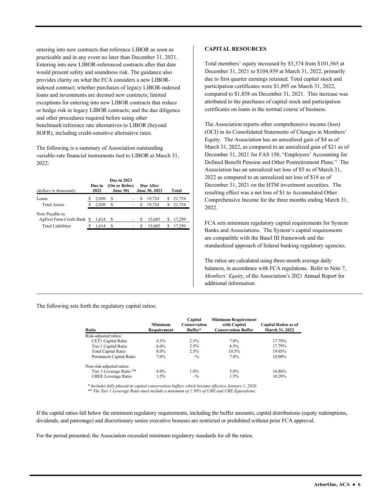loans and investments are deemed new contracts; limited entering into new contracts that reference LIBOR as soon as practicable and in any event no later than December 31, 2021. Entering into new LIBOR-referenced contracts after that date would present safety and soundness risk. The guidance also provides clarity on what the FCA considers a new LIBORindexed contract; whether purchases of legacy LIBOR-indexed exceptions for entering into new LIBOR contracts that reduce or hedge risk in legacy LIBOR contracts; and the due diligence and other procedures required before using other benchmark/reference rate alternatives to LIBOR (beyond SOFR), including credit-sensitive alternative rates.

The following is a summary of Association outstanding variable-rate financial instruments tied to LIBOR at March 31, 2022:

| (dollars in thousands)                         | Due in<br>2022 |   | Due in 2023<br>(On or Before<br><b>June 30)</b> |   | Due After<br>June 30, 2023 |    | Total  |
|------------------------------------------------|----------------|---|-------------------------------------------------|---|----------------------------|----|--------|
| Loans                                          | 2.030          | S |                                                 | S | 19.724                     | S  | 21,754 |
| <b>Total Assets</b>                            | 2,030          | S |                                                 | S | 19.724                     | ה. | 21,754 |
| Note Payable to<br>AgFirst Farm Credit Bank \$ | 1.614          | S |                                                 | S | 15,685                     | S  | 17,299 |
| Total Liabilities                              | 1.614          | S |                                                 | S | 15.685                     |    | 17.299 |

#### **CAPITAL RESOURCES**

 Total members' equity increased by \$3,374 from \$101,565 at December 31, 2021 to \$104,939 at March 31, 2022, primarily due to first quarter earnings retained. Total capital stock and participation certificates were \$1,895 on March 31, 2022, compared to \$1,858 on December 31, 2021. This increase was attributed to the purchases of capital stock and participation certificates on loans in the normal course of business.

 March 31, 2022, as compared to an unrealized gain of \$21 as of  Defined Benefit Pension and Other Postretirement Plans." The December 31, 2021 on the HTM investment securities. The The Association reports other comprehensive income (loss) (OCI) in its Consolidated Statements of Changes in Members' Equity. The Association has an unrealized gain of \$4 as of December 31, 2021 for FAS 158, "Employers' Accounting for Association has an unrealized net loss of \$5 as of March 31, 2022 as compared to an unrealized net loss of \$18 as of resulting effect was a net loss of \$1 to Accumulated Other Comprehensive Income for the three months ending March 31, 2022.

FCA sets minimum regulatory capital requirements for System Banks and Associations. The System's capital requirements are compatible with the Basel III framework and the standardized approach of federal banking regulatory agencies.

The ratios are calculated using three-month average daily balances, in accordance with FCA regulations. Refer to Note 7, *Members' Equity*, of the Association's 2021 Annual Report for additional information.

The following sets forth the regulatory capital ratios:

| Ratio                      | <b>Minimum</b><br>Requirement | Capital<br>Conservation<br>Buffer* | <b>Minimum Requirement</b><br>with Capital<br><b>Conservation Buffer</b> | <b>Capital Ratios as of</b><br>March 31, 2022 |
|----------------------------|-------------------------------|------------------------------------|--------------------------------------------------------------------------|-----------------------------------------------|
| Risk-adjusted ratios:      |                               |                                    |                                                                          |                                               |
| CET1 Capital Ratio         | $4.5\%$                       | 2.5%                               | $7.0\%$                                                                  | 17.79%                                        |
| Tier 1 Capital Ratio       | $6.0\%$                       | 2.5%                               | 8.5%                                                                     | 17.79%                                        |
| <b>Total Capital Ratio</b> | 8.0%                          | 2.5%                               | 10.5%                                                                    | 19.05%                                        |
| Permanent Capital Ratio    | 7.0%                          | $-$ <sup>0</sup> / <sub>0</sub>    | $7.0\%$                                                                  | 18.00%                                        |
| Non-risk-adjusted ratios:  |                               |                                    |                                                                          |                                               |
| Tier 1 Leverage Ratio **   | $4.0\%$                       | $1.0\%$                            | $5.0\%$                                                                  | 16.86%                                        |
| UREE Leverage Ratio        | 1.5%                          | $-$ %                              | 1.5%                                                                     | 10.29%                                        |

 *\* Includes fully phased-in capital conservation buffers which became effective January 1, 2020. \*\* The Tier 1 Leverage Ratio must include a minimum of 1.50% of URE and URE Equivalents.* 

If the capital ratios fall below the minimum regulatory requirements, including the buffer amounts, capital distributions (equity redemptions, dividends, and patronage) and discretionary senior executive bonuses are restricted or prohibited without prior FCA approval.

For the period presented, the Association exceeded minimum regulatory standards for all the ratios.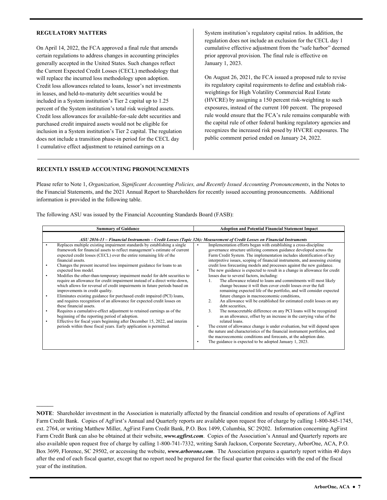#### **REGULATORY MATTERS**

**––––––** 

On April 14, 2022, the FCA approved a final rule that amends certain regulations to address changes in accounting principles generally accepted in the United States. Such changes reflect the Current Expected Credit Losses (CECL) methodology that will replace the incurred loss methodology upon adoption. Credit loss allowances related to loans, lessor's net investments in leases, and held-to-maturity debt securities would be included in a System institution's Tier 2 capital up to 1.25 percent of the System institution's total risk weighted assets. Credit loss allowances for available-for-sale debt securities and purchased credit impaired assets would not be eligible for inclusion in a System institution's Tier 2 capital. The regulation does not include a transition phase-in period for the CECL day 1 cumulative effect adjustment to retained earnings on a

System institution's regulatory capital ratios. In addition, the regulation does not include an exclusion for the CECL day 1 cumulative effective adjustment from the "safe harbor" deemed prior approval provision. The final rule is effective on January 1, 2023.

On August 26, 2021, the FCA issued a proposed rule to revise its regulatory capital requirements to define and establish riskweightings for High Volatility Commercial Real Estate (HVCRE) by assigning a 150 percent risk-weighting to such exposures, instead of the current 100 percent. The proposed rule would ensure that the FCA's rule remains comparable with the capital rule of other federal banking regulatory agencies and recognizes the increased risk posed by HVCRE exposures. The public comment period ended on January 24, 2022.

#### **RECENTLY ISSUED ACCOUNTING PRONOUNCEMENTS**

Please refer to Note 1, *Organization, Significant Accounting Policies, and Recently Issued Accounting Pronouncements*, in the Notes to the Financial Statements, and the 2021 Annual Report to Shareholders for recently issued accounting pronouncements. Additional information is provided in the following table.

The following ASU was issued by the Financial Accounting Standards Board (FASB):

| <b>Summary of Guidance</b>                                                                                                                                                                                                                                                                                                                                                                                                                                                                                                                                                                                                                                                                                                                                                                                                                                                                                                                                                                                                                                                                               | <b>Adoption and Potential Financial Statement Impact</b>                                                                                                                                                                                                                                                                                                                                                                                                                                                                                                                                                                                                                                                                                                                                                                                                                                                                                                                                                                                                                                                                                                                                                                                                                                                                                                |
|----------------------------------------------------------------------------------------------------------------------------------------------------------------------------------------------------------------------------------------------------------------------------------------------------------------------------------------------------------------------------------------------------------------------------------------------------------------------------------------------------------------------------------------------------------------------------------------------------------------------------------------------------------------------------------------------------------------------------------------------------------------------------------------------------------------------------------------------------------------------------------------------------------------------------------------------------------------------------------------------------------------------------------------------------------------------------------------------------------|---------------------------------------------------------------------------------------------------------------------------------------------------------------------------------------------------------------------------------------------------------------------------------------------------------------------------------------------------------------------------------------------------------------------------------------------------------------------------------------------------------------------------------------------------------------------------------------------------------------------------------------------------------------------------------------------------------------------------------------------------------------------------------------------------------------------------------------------------------------------------------------------------------------------------------------------------------------------------------------------------------------------------------------------------------------------------------------------------------------------------------------------------------------------------------------------------------------------------------------------------------------------------------------------------------------------------------------------------------|
|                                                                                                                                                                                                                                                                                                                                                                                                                                                                                                                                                                                                                                                                                                                                                                                                                                                                                                                                                                                                                                                                                                          | ASU 2016-13 – Financial Instruments – Credit Losses (Topic 326): Measurement of Credit Losses on Financial Instruments                                                                                                                                                                                                                                                                                                                                                                                                                                                                                                                                                                                                                                                                                                                                                                                                                                                                                                                                                                                                                                                                                                                                                                                                                                  |
| Replaces multiple existing impairment standards by establishing a single<br>framework for financial assets to reflect management's estimate of current<br>expected credit losses (CECL) over the entire remaining life of the<br>financial assets.<br>Changes the present incurred loss impairment guidance for loans to an<br>expected loss model.<br>Modifies the other-than-temporary impairment model for debt securities to<br>٠<br>require an allowance for credit impairment instead of a direct write-down,<br>which allows for reversal of credit impairments in future periods based on<br>improvements in credit quality.<br>Eliminates existing guidance for purchased credit impaired (PCI) loans,<br>٠<br>and requires recognition of an allowance for expected credit losses on<br>these financial assets.<br>Requires a cumulative-effect adjustment to retained earnings as of the<br>beginning of the reporting period of adoption.<br>Effective for fiscal years beginning after December 15, 2022, and interim<br>periods within those fiscal years. Early application is permitted. | Implementation efforts began with establishing a cross-discipline<br>٠<br>governance structure utilizing common guidance developed across the<br>Farm Credit System. The implementation includes identification of key<br>interpretive issues, scoping of financial instruments, and assessing existing<br>credit loss forecasting models and processes against the new guidance.<br>The new guidance is expected to result in a change in allowance for credit<br>٠<br>losses due to several factors, including:<br>The allowance related to loans and commitments will most likely<br>change because it will then cover credit losses over the full<br>remaining expected life of the portfolio, and will consider expected<br>future changes in macroeconomic conditions,<br>An allowance will be established for estimated credit losses on any<br>2.<br>debt securities.<br>3.<br>The nonaccretable difference on any PCI loans will be recognized<br>as an allowance, offset by an increase in the carrying value of the<br>related loans.<br>The extent of allowance change is under evaluation, but will depend upon<br>$\bullet$<br>the nature and characteristics of the financial instrument portfolios, and<br>the macroeconomic conditions and forecasts, at the adoption date.<br>The guidance is expected to be adopted January 1, 2023. |

 Box 3699, Florence, SC 29502, or accessing the website, *<www.arborone.com>*. The Association prepares a quarterly report within 40 days **NOTE**: Shareholder investment in the Association is materially affected by the financial condition and results of operations of AgFirst Farm Credit Bank. Copies of AgFirst's Annual and Quarterly reports are available upon request free of charge by calling 1-800-845-1745, ext. 2764, or writing Matthew Miller, AgFirst Farm Credit Bank, P.O. Box 1499, Columbia, SC 29202. Information concerning AgFirst Farm Credit Bank can also be obtained at their website, *<www.agfirst.com>*. Copies of the Association's Annual and Quarterly reports are also available upon request free of charge by calling 1-800-741-7332, writing Sarah Jackson, Corporate Secretary, ArborOne, ACA, P.O. after the end of each fiscal quarter, except that no report need be prepared for the fiscal quarter that coincides with the end of the fiscal year of the institution.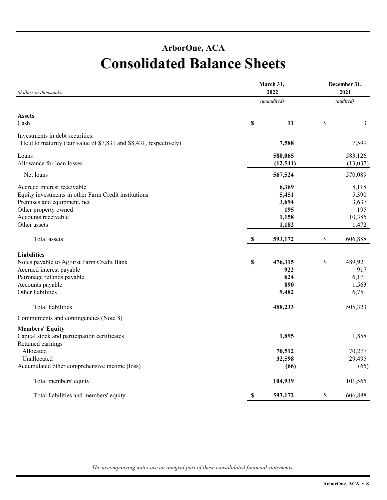### **ArborOne, ACA Consolidated Balance Sheets**

| (dollars in thousands)                                                                                                                                                            | March 31,   | December 31,<br>2021                             |    |                                                   |  |
|-----------------------------------------------------------------------------------------------------------------------------------------------------------------------------------|-------------|--------------------------------------------------|----|---------------------------------------------------|--|
|                                                                                                                                                                                   |             | (unaudited)                                      |    | (audited)                                         |  |
| <b>Assets</b><br>Cash                                                                                                                                                             | \$          | 11                                               | \$ | 3                                                 |  |
| Investments in debt securities:<br>Held to maturity (fair value of \$7,831 and \$8,431, respectively)                                                                             |             | 7,588                                            |    | 7,599                                             |  |
| Loans<br>Allowance for loan losses                                                                                                                                                |             | 580,065<br>(12, 541)                             |    | 583,126<br>(13,037)                               |  |
| Net loans                                                                                                                                                                         |             | 567,524                                          |    | 570,089                                           |  |
| Accrued interest receivable<br>Equity investments in other Farm Credit institutions<br>Premises and equipment, net<br>Other property owned<br>Accounts receivable<br>Other assets |             | 6,369<br>5,451<br>3,694<br>195<br>1,158<br>1,182 |    | 8,118<br>5,390<br>3,637<br>195<br>10,385<br>1,472 |  |
| Total assets                                                                                                                                                                      | $\mathbf S$ | 593,172                                          | \$ | 606,888                                           |  |
| <b>Liabilities</b><br>Notes payable to AgFirst Farm Credit Bank<br>Accrued interest payable<br>Patronage refunds payable<br>Accounts payable<br>Other liabilities                 | \$          | 476,315<br>922<br>624<br>890<br>9,482            | \$ | 489,921<br>917<br>6,171<br>1,563<br>6,751         |  |
| Total liabilities                                                                                                                                                                 |             | 488,233                                          |    | 505,323                                           |  |
| Commitments and contingencies (Note 8)                                                                                                                                            |             |                                                  |    |                                                   |  |
| <b>Members' Equity</b><br>Capital stock and participation certificates<br>Retained earnings                                                                                       |             | 1,895                                            |    | 1,858                                             |  |
| Allocated<br>Unallocated<br>Accumulated other comprehensive income (loss)                                                                                                         |             | 70,512<br>32,598<br>(66)                         |    | 70,277<br>29,495<br>(65)                          |  |
| Total members' equity                                                                                                                                                             |             | 104,939                                          |    | 101,565                                           |  |
| Total liabilities and members' equity                                                                                                                                             | \$          | 593,172                                          | \$ | 606,888                                           |  |

*The accompanying notes are an integral part of these consolidated financial statements.*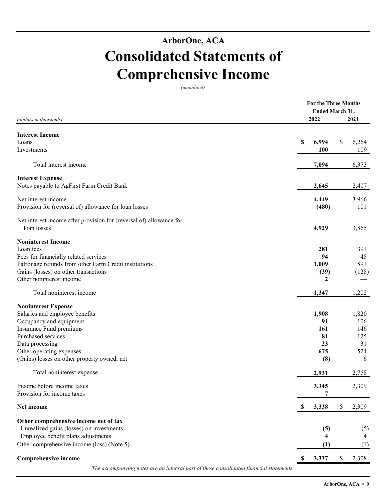### **ArborOne, ACA Consolidated Statements of Comprehensive Income**

*(unaudited)*

| (dollars in thousands)                                              | 2022                               | <b>For the Three Months</b><br>Ended March 31,<br>2021 |
|---------------------------------------------------------------------|------------------------------------|--------------------------------------------------------|
| <b>Interest Income</b>                                              |                                    |                                                        |
| Loans                                                               | \$<br>6,994                        | \$<br>6,264                                            |
| Investments                                                         | 100                                | 109                                                    |
| Total interest income                                               | 7,094                              | 6,373                                                  |
| <b>Interest Expense</b>                                             |                                    |                                                        |
| Notes payable to AgFirst Farm Credit Bank                           | 2,645                              | 2,407                                                  |
| Net interest income                                                 | 4,449                              | 3,966                                                  |
| Provision for (reversal of) allowance for loan losses               | (480)                              | 101                                                    |
| Net interest income after provision for (reversal of) allowance for |                                    |                                                        |
| loan losses                                                         | 4,929                              | 3,865                                                  |
| <b>Noninterest Income</b>                                           |                                    |                                                        |
| Loan fees                                                           | 281                                | 391                                                    |
| Fees for financially related services                               | 94                                 | 48                                                     |
| Patronage refunds from other Farm Credit institutions               | 1,009                              | 891                                                    |
| Gains (losses) on other transactions                                | (39)                               | (128)                                                  |
| Other noninterest income                                            | $\boldsymbol{2}$                   |                                                        |
| Total noninterest income                                            | 1,347                              | 1,202                                                  |
| <b>Noninterest Expense</b>                                          |                                    |                                                        |
| Salaries and employee benefits                                      | 1,908                              | 1,820                                                  |
| Occupancy and equipment                                             | 91                                 | 106                                                    |
| Insurance Fund premiums                                             | 161                                | 146                                                    |
| Purchased services                                                  | 81                                 | 125                                                    |
| Data processing                                                     | 23                                 | 31                                                     |
| Other operating expenses                                            | 675                                | 524                                                    |
| (Gains) losses on other property owned, net                         | (8)                                | 6                                                      |
| Total noninterest expense                                           | 2,931                              | 2,758                                                  |
| Income before income taxes                                          | 3,345                              | 2,309                                                  |
| Provision for income taxes                                          |                                    |                                                        |
| Net income                                                          | 3,338<br>$\boldsymbol{\mathsf{S}}$ | \$<br>2,309                                            |
| Other comprehensive income net of tax                               |                                    |                                                        |
| Unrealized gains (losses) on investments                            | (5)                                | (5)                                                    |
| Employee benefit plans adjustments                                  | 4                                  | 4                                                      |
| Other comprehensive income (loss) (Note 5)                          | (1)                                | (1)                                                    |
| <b>Comprehensive income</b>                                         | 3,337<br>\$                        | 2,308<br>\$                                            |
|                                                                     |                                    |                                                        |

*The accompanying notes are an integral part of these consolidated financial statements.*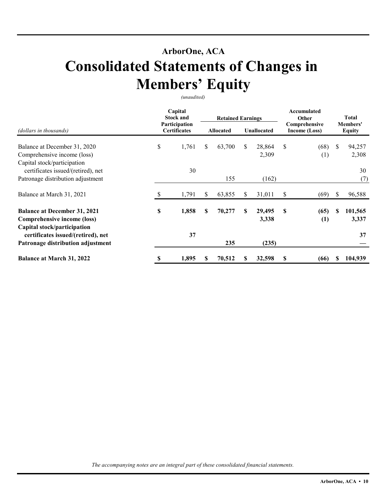### **ArborOne, ACA**

## **Consolidated Statements of Changes in Members' Equity**

*(unaudited)* 

|                                                                                                   |                                      | Capital<br><b>Stock and</b> |    | <b>Retained Earnings</b> |    |                                | Accumulated<br>Other |                           |               | <b>Total</b>     |
|---------------------------------------------------------------------------------------------------|--------------------------------------|-----------------------------|----|--------------------------|----|--------------------------------|----------------------|---------------------------|---------------|------------------|
| (dollars in thousands)                                                                            | Participation<br><b>Certificates</b> | <b>Allocated</b>            |    | <b>Unallocated</b>       |    | Comprehensive<br>Income (Loss) |                      | Members'<br><b>Equity</b> |               |                  |
| Balance at December 31, 2020<br>Comprehensive income (loss)                                       | \$                                   | 1,761                       | \$ | 63,700                   | \$ | 28,864<br>2,309                | <sup>\$</sup>        | (68)<br>(1)               | <sup>\$</sup> | 94,257<br>2,308  |
| Capital stock/participation<br>certificates issued/(retired), net                                 |                                      | 30                          |    |                          |    |                                |                      |                           |               | 30               |
| Patronage distribution adjustment                                                                 |                                      |                             |    | 155                      |    | (162)                          |                      |                           |               | (7)              |
| Balance at March 31, 2021                                                                         | S                                    | 1,791                       | S  | 63,855                   | S  | 31,011                         | \$                   | (69)                      | S             | 96,588           |
| <b>Balance at December 31, 2021</b><br>Comprehensive income (loss)<br>Capital stock/participation | \$                                   | 1,858                       | \$ | 70,277                   | S  | 29,495<br>3,338                | S                    | (65)<br>(1)               | \$.           | 101,565<br>3,337 |
| certificates issued/(retired), net<br>Patronage distribution adjustment                           |                                      | 37                          |    | 235                      |    | (235)                          |                      |                           |               | 37               |
| <b>Balance at March 31, 2022</b>                                                                  | \$                                   | 1,895                       | \$ | 70,512                   | \$ | 32,598                         | \$                   | (66)                      |               | 104,939          |

*The accompanying notes are an integral part of these consolidated financial statements.*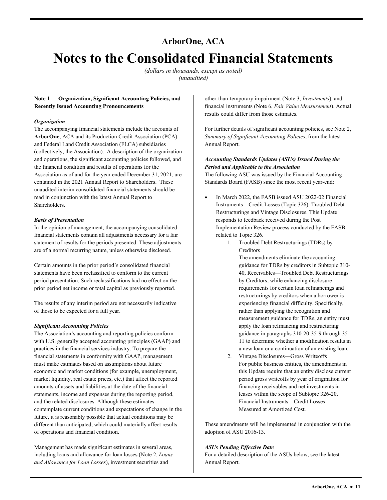### **ArborOne, ACA Notes to the Consolidated Financial Statements**

*(dollars in thousands, except as noted) (unaudited)* 

#### **Note 1 — Organization, Significant Accounting Policies, and Recently Issued Accounting Pronouncements**

#### *Organization*

The accompanying financial statements include the accounts of **ArborOne**, ACA and its Production Credit Association (PCA) and Federal Land Credit Association (FLCA) subsidiaries (collectively, the Association). A description of the organization and operations, the significant accounting policies followed, and the financial condition and results of operations for the Association as of and for the year ended December 31, 2021, are contained in the 2021 Annual Report to Shareholders. These unaudited interim consolidated financial statements should be read in conjunction with the latest Annual Report to Shareholders.

#### *Basis of Presentation*

In the opinion of management, the accompanying consolidated financial statements contain all adjustments necessary for a fair statement of results for the periods presented. These adjustments are of a normal recurring nature, unless otherwise disclosed.

Certain amounts in the prior period's consolidated financial statements have been reclassified to conform to the current period presentation. Such reclassifications had no effect on the prior period net income or total capital as previously reported.

 of those to be expected for a full year. The results of any interim period are not necessarily indicative

#### *Significant Accounting Policies*

The Association's accounting and reporting policies conform with U.S. generally accepted accounting principles (GAAP) and practices in the financial services industry. To prepare the financial statements in conformity with GAAP, management must make estimates based on assumptions about future economic and market conditions (for example, unemployment, market liquidity, real estate prices, etc.) that affect the reported amounts of assets and liabilities at the date of the financial statements, income and expenses during the reporting period, and the related disclosures. Although these estimates contemplate current conditions and expectations of change in the future, it is reasonably possible that actual conditions may be different than anticipated, which could materially affect results of operations and financial condition. **Since the Constraints Spirituan Markov (Allow Allow Allow Allow Allow Allow Allow Allow Allow Allow Allow Allow Allow Allow Allow Allow Allow Allow Allow Allow Allow Allow Allow Allow Allow Allow Allow Allow Allow Allow** 

and Allowance for Loan Losses), investment securities and Management has made significant estimates in several areas, including loans and allowance for loan losses (Note 2, *Loans* 

financial instruments (Note 6, *Fair Value Measurement*). Actual results could differ from those estimates.

For further details of significant accounting policies, see Note 2, *Summary of Significant Accounting Policies*, from the latest Annual Report.

#### *Accounting Standards Updates (ASUs) Issued During the Period and Applicable to the Association*

 Standards Board (FASB) since the most recent year-end: The following ASU was issued by the Financial Accounting

- In March 2022, the FASB issued ASU 2022-02 Financial Instruments—Credit Losses (Topic 326): Troubled Debt Restructurings and Vintage Disclosures. This Update responds to feedback received during the Post Implementation Review process conducted by the FASB related to Topic 326.
	- 1. Troubled Debt Restructurings (TDRs) by Creditors

The amendments eliminate the accounting guidance for TDRs by creditors in Subtopic 310- 40, Receivables—Troubled Debt Restructurings by Creditors, while enhancing disclosure requirements for certain loan refinancings and restructurings by creditors when a borrower is experiencing financial difficulty. Specifically, rather than applying the recognition and measurement guidance for TDRs, an entity must apply the loan refinancing and restructuring guidance in paragraphs 310-20-35-9 through 35- 11 to determine whether a modification results in a new loan or a continuation of an existing loan.

2. Vintage Disclosures—Gross Writeoffs For public business entities, the amendments in this Update require that an entity disclose current period gross writeoffs by year of origination for financing receivables and net investments in leases within the scope of Subtopic 326-20, Financial Instruments—Credit Losses— Measured at Amortized Cost.

These amendments will be implemented in conjunction with the adoption of ASU 2016-13.

#### *ASUs Pending Effective Date*

For a detailed description of the ASUs below, see the latest Annual Report.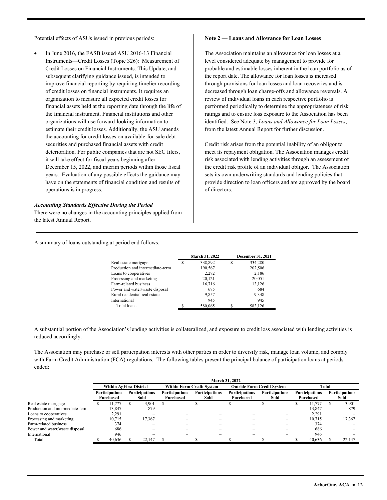Potential effects of ASUs issued in previous periods:

 In June 2016, the FASB issued ASU 2016-13 Financial Instruments—Credit Losses (Topic 326): Measurement of Credit Losses on Financial Instruments. This Update, and subsequent clarifying guidance issued, is intended to improve financial reporting by requiring timelier recording of credit losses on financial instruments. It requires an organization to measure all expected credit losses for financial assets held at the reporting date through the life of the financial instrument. Financial institutions and other organizations will use forward-looking information to estimate their credit losses. Additionally, the ASU amends the accounting for credit losses on available-for-sale debt securities and purchased financial assets with credit deterioration. For public companies that are not SEC filers, it will take effect for fiscal years beginning after December 15, 2022, and interim periods within those fiscal years. Evaluation of any possible effects the guidance may have on the statements of financial condition and results of operations is in progress.

#### *Accounting Standards Effective During the Period*

There were no changes in the accounting principles applied from the latest Annual Report.

#### **Note 2 — Loans and Allowance for Loan Losses**

 identified. See Note 3, *Loans and Allowance for Loan Losses*, The Association maintains an allowance for loan losses at a level considered adequate by management to provide for probable and estimable losses inherent in the loan portfolio as of the report date. The allowance for loan losses is increased through provisions for loan losses and loan recoveries and is decreased through loan charge-offs and allowance reversals. A review of individual loans in each respective portfolio is performed periodically to determine the appropriateness of risk ratings and to ensure loss exposure to the Association has been from the latest Annual Report for further discussion.

Credit risk arises from the potential inability of an obligor to meet its repayment obligation. The Association manages credit risk associated with lending activities through an assessment of the credit risk profile of an individual obligor. The Association sets its own underwriting standards and lending policies that provide direction to loan officers and are approved by the board of directors.

A summary of loans outstanding at period end follows:

|                                  |   | March 31, 2022 |   | <b>December 31, 2021</b> |
|----------------------------------|---|----------------|---|--------------------------|
| Real estate mortgage             | S | 338,892        | S | 334,280                  |
| Production and intermediate-term |   | 190,567        |   | 202,506                  |
| Loans to cooperatives            |   | 2,282          |   | 2,186                    |
| Processing and marketing         |   | 20.121         |   | 20,051                   |
| Farm-related business            |   | 16,716         |   | 13,126                   |
| Power and water/waste disposal   |   | 685            |   | 684                      |
| Rural residential real estate    |   | 9,857          |   | 9,348                    |
| International                    |   | 945            |   | 945                      |
| Total loans                      |   | 580,065        | S | 583,126                  |
|                                  |   |                |   |                          |

A substantial portion of the Association's lending activities is collateralized, and exposure to credit loss associated with lending activities is reduced accordingly.

The Association may purchase or sell participation interests with other parties in order to diversify risk, manage loan volume, and comply with Farm Credit Administration (FCA) regulations. The following tables present the principal balance of participation loans at periods ended:

|                                  | March 31, 2022 |                                    |  |                               |                                  |                                    |  |                               |                                   |                                    |  |                               |              |                                    |  |                               |
|----------------------------------|----------------|------------------------------------|--|-------------------------------|----------------------------------|------------------------------------|--|-------------------------------|-----------------------------------|------------------------------------|--|-------------------------------|--------------|------------------------------------|--|-------------------------------|
|                                  |                | <b>Within AgFirst District</b>     |  |                               | <b>Within Farm Credit System</b> |                                    |  |                               | <b>Outside Farm Credit System</b> |                                    |  |                               | <b>Total</b> |                                    |  |                               |
|                                  |                | <b>Participations</b><br>Purchased |  | <b>Participations</b><br>Sold |                                  | <b>Participations</b><br>Purchased |  | <b>Participations</b><br>Sold |                                   | <b>Participations</b><br>Purchased |  | <b>Participations</b><br>Sold |              | <b>Participations</b><br>Purchased |  | <b>Participations</b><br>Sold |
| Real estate mortgage             |                | 11.777                             |  | 3.901                         |                                  | $\overline{\phantom{0}}$           |  | $\overline{\phantom{m}}$      |                                   | $\overline{\phantom{a}}$           |  | -                             |              | 11.777                             |  | 3.901                         |
| Production and intermediate-term |                | 13.847                             |  | 879                           |                                  |                                    |  |                               |                                   |                                    |  |                               |              | 13.847                             |  | 879                           |
| Loans to cooperatives            |                | 2.291                              |  |                               |                                  |                                    |  |                               |                                   |                                    |  |                               |              | 2,291                              |  |                               |
| Processing and marketing         |                | 10.715                             |  | 17,367                        |                                  |                                    |  | -                             |                                   |                                    |  | -                             |              | 10.715                             |  | 17,367                        |
| Farm-related business            |                | 374                                |  | -                             |                                  |                                    |  | -                             |                                   |                                    |  | -                             |              | 374                                |  |                               |
| Power and water/waste disposal   |                | 686                                |  |                               |                                  |                                    |  |                               |                                   |                                    |  | -                             |              | 686                                |  |                               |
| International                    |                | 946                                |  | -                             |                                  |                                    |  |                               |                                   |                                    |  |                               |              | 946                                |  |                               |
| Total                            |                | 40.636                             |  | 22.147                        |                                  | $\overline{\phantom{0}}$           |  | -                             |                                   | -                                  |  | -                             |              | 40,636                             |  | 22,147                        |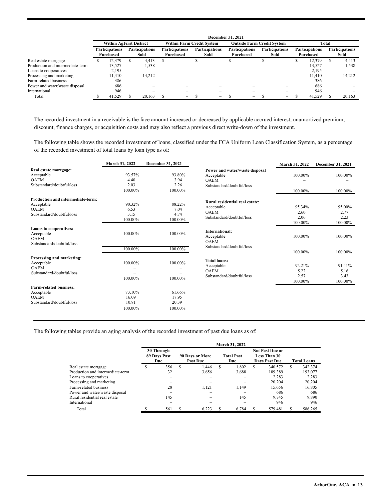|                                  | December 31, 2021 |                                    |  |                               |                                  |                                    |  |                               |                                   |                                    |  |                               |       |                                    |  |                               |
|----------------------------------|-------------------|------------------------------------|--|-------------------------------|----------------------------------|------------------------------------|--|-------------------------------|-----------------------------------|------------------------------------|--|-------------------------------|-------|------------------------------------|--|-------------------------------|
|                                  |                   | <b>Within AgFirst District</b>     |  |                               | <b>Within Farm Credit System</b> |                                    |  |                               | <b>Outside Farm Credit System</b> |                                    |  |                               | Total |                                    |  |                               |
|                                  |                   | <b>Participations</b><br>Purchased |  | <b>Participations</b><br>Sold |                                  | <b>Participations</b><br>Purchased |  | <b>Participations</b><br>Sold |                                   | <b>Participations</b><br>Purchased |  | <b>Participations</b><br>Sold |       | <b>Participations</b><br>Purchased |  | <b>Participations</b><br>Sold |
| Real estate mortgage             |                   | 12.379                             |  | 4.413                         |                                  | -                                  |  | -                             |                                   | -                                  |  | -                             |       | 12.379                             |  | 4.413                         |
| Production and intermediate-term |                   | 13.527                             |  | 1,538                         |                                  | -                                  |  | -                             |                                   |                                    |  | -                             |       | 13.527                             |  | 1,538                         |
| Loans to cooperatives            |                   | 2.195                              |  | -                             |                                  |                                    |  |                               |                                   |                                    |  | -                             |       | 2.195                              |  |                               |
| Processing and marketing         |                   | 11.410                             |  | 14.212                        |                                  |                                    |  |                               |                                   |                                    |  |                               |       | 11.410                             |  | 14,212                        |
| Farm-related business            |                   | 386                                |  |                               |                                  |                                    |  |                               |                                   |                                    |  |                               |       | 386                                |  |                               |
| Power and water/waste disposal   |                   | 686                                |  |                               |                                  |                                    |  |                               |                                   |                                    |  |                               |       | 686                                |  |                               |
| International                    |                   | 946                                |  | $\overline{\phantom{0}}$      |                                  |                                    |  |                               |                                   |                                    |  |                               |       | 946                                |  |                               |
| Total                            |                   | 41.529                             |  | 20.163                        |                                  | -                                  |  | -                             |                                   | -                                  |  | -                             |       | 41.529                             |  | 20.163                        |

The recorded investment in a receivable is the face amount increased or decreased by applicable accrued interest, unamortized premium, discount, finance charges, or acquisition costs and may also reflect a previous direct write-down of the investment.

 of the recorded investment of total loans by loan type as of: The following table shows the recorded investment of loans, classified under the FCA Uniform Loan Classification System, as a percentage

|                                                                                             | March 31, 2022                      | December 31, 2021                   |                                                                                          | March 31, 2022                      | December 31, 2021                 |
|---------------------------------------------------------------------------------------------|-------------------------------------|-------------------------------------|------------------------------------------------------------------------------------------|-------------------------------------|-----------------------------------|
| Real estate mortgage:<br>Acceptable<br><b>OAEM</b><br>Substandard/doubtful/loss             | 93.57%<br>4.40<br>2.03              | 93.80%<br>3.94<br>2.26              | Power and water/waste disposal<br>Acceptable<br><b>OAEM</b><br>Substandard/doubtful/loss | 100.00%<br>$\overline{\phantom{0}}$ | 100.00%                           |
|                                                                                             | 100.00%                             | 100.00%                             |                                                                                          | 100.00%                             | 100.00%                           |
| Production and intermediate-term:<br>Acceptable<br><b>OAEM</b><br>Substandard/doubtful/loss | 90.32%<br>6.53<br>3.15<br>100.00%   | 88.22%<br>7.04<br>4.74<br>100.00%   | Rural residential real estate:<br>Acceptable<br><b>OAEM</b><br>Substandard/doubtful/loss | 95.34%<br>2.60<br>2.06              | 95.00%<br>2.77<br>2.23            |
| <b>Loans to cooperatives:</b><br>Acceptable<br><b>OAEM</b><br>Substandard/doubtful/loss     | 100.00%<br>100.00%                  | 100.00%<br>100.00%                  | International:<br>Acceptable<br><b>OAEM</b><br>Substandard/doubtful/loss                 | 100.00%<br>100.00%<br>100.00%       | 100.00%<br>100.00%<br>100.00%     |
| Processing and marketing:<br>Acceptable<br><b>OAEM</b><br>Substandard/doubtful/loss         | 100.00%<br>100.00%                  | 100.00%<br>100.00%                  | <b>Total loans:</b><br>Acceptable<br><b>OAEM</b><br>Substandard/doubtful/loss            | 92.21%<br>5.22<br>2.57<br>100.00%   | 91.41%<br>5.16<br>3.43<br>100.00% |
| <b>Farm-related business:</b><br>Acceptable<br><b>OAEM</b><br>Substandard/doubtful/loss     | 73.10%<br>16.09<br>10.81<br>100.00% | 61.66%<br>17.95<br>20.39<br>100.00% |                                                                                          |                                     |                                   |

The following tables provide an aging analysis of the recorded investment of past due loans as of:

|                                  |   |                                   |     |                                    |   | March 31, 2022           |   |                                                                       |                    |         |  |
|----------------------------------|---|-----------------------------------|-----|------------------------------------|---|--------------------------|---|-----------------------------------------------------------------------|--------------------|---------|--|
|                                  |   | 30 Through<br>89 Days Past<br>Due |     | 90 Days or More<br><b>Past Due</b> |   | <b>Total Past</b><br>Due |   | <b>Not Past Due or</b><br><b>Less Than 30</b><br><b>Days Past Due</b> | <b>Total Loans</b> |         |  |
| Real estate mortgage             | S | 356                               | \$. | 1.446                              | S | 1,802                    | S | 340,572                                                               | S                  | 342,374 |  |
| Production and intermediate-term |   | 32                                |     | 3,656                              |   | 3,688                    |   | 189,389                                                               |                    | 193,077 |  |
| Loans to cooperatives            |   |                                   |     |                                    |   |                          |   | 2.283                                                                 |                    | 2,283   |  |
| Processing and marketing         |   |                                   |     |                                    |   |                          |   | 20,204                                                                |                    | 20,204  |  |
| Farm-related business            |   | 28                                |     | 1.121                              |   | 1.149                    |   | 15,656                                                                |                    | 16,805  |  |
| Power and water/waste disposal   |   |                                   |     |                                    |   |                          |   | 686                                                                   |                    | 686     |  |
| Rural residential real estate    |   | 145                               |     |                                    |   | 145                      |   | 9.745                                                                 |                    | 9,890   |  |
| International                    |   |                                   |     |                                    |   |                          |   | 946                                                                   |                    | 946     |  |
| Total                            |   | 561                               | ς   | 6.223                              |   | 6.784                    |   | 579.481                                                               |                    | 586,265 |  |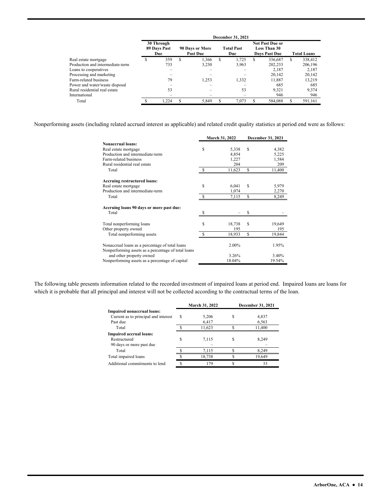|                                  |                                   |               |                                    |   | December 31, 2021        |   |                                                                |     |                    |
|----------------------------------|-----------------------------------|---------------|------------------------------------|---|--------------------------|---|----------------------------------------------------------------|-----|--------------------|
|                                  | 30 Through<br>89 Days Past<br>Due |               | 90 Days or More<br><b>Past Due</b> |   | <b>Total Past</b><br>Due |   | <b>Not Past Due or</b><br>Less Than 30<br><b>Days Past Due</b> |     | <b>Total Loans</b> |
| Real estate mortgage             | 359                               | <sup>\$</sup> | 1.366                              | S | 1.725                    | S | 336,687                                                        | \$. | 338.412            |
| Production and intermediate-term | 733                               |               | 3.230                              |   | 3,963                    |   | 202.233                                                        |     | 206,196            |
| Loans to cooperatives            |                                   |               |                                    |   |                          |   | 2.187                                                          |     | 2.187              |
| Processing and marketing         |                                   |               |                                    |   |                          |   | 20.142                                                         |     | 20,142             |
| Farm-related business            | 79                                |               | 1.253                              |   | 1,332                    |   | 11,887                                                         |     | 13.219             |
| Power and water/waste disposal   |                                   |               |                                    |   |                          |   | 685                                                            |     | 685                |
| Rural residential real estate    | 53                                |               |                                    |   | 53                       |   | 9.321                                                          |     | 9.374              |
| International                    |                                   |               |                                    |   |                          |   | 946                                                            |     | 946                |
| Total                            | 1.224                             |               | 5.849                              |   | 7.073                    |   | 584,088                                                        | S   | 591,161            |

Nonperforming assets (including related accrued interest as applicable) and related credit quality statistics at period end were as follows:

|                                                                             |   | March 31, 2022  |   | December 31, 2021 |
|-----------------------------------------------------------------------------|---|-----------------|---|-------------------|
| <b>Nonaccrual loans:</b>                                                    |   |                 |   |                   |
| Real estate mortgage                                                        | S | 5,338           | S | 4,382             |
| Production and intermediate-term                                            |   | 4,854           |   | 5,225             |
| Farm-related business                                                       |   | 1,227           |   | 1,584             |
| Rural residential real estate                                               |   | 204             |   | 209               |
| Total                                                                       |   | 11,623          | S | 11,400            |
| <b>Accruing restructured loans:</b>                                         |   |                 |   |                   |
| Real estate mortgage                                                        | S | 6,041           | S | 5,979             |
| Production and intermediate-term                                            |   | 1,074           |   | 2,270             |
| Total                                                                       |   | 7,115           | S | 8,249             |
| Accruing loans 90 days or more past due:                                    |   |                 |   |                   |
| Total                                                                       |   |                 |   |                   |
| Total nonperforming loans                                                   | S | 18,738          | S | 19,649            |
| Other property owned                                                        |   | 195             |   | 195               |
| Total nonperforming assets                                                  |   | 18,933          | S | 19,844            |
| Nonaccrual loans as a percentage of total loans                             |   | 2.00%           |   | 1.95%             |
| Nonperforming assets as a percentage of total loans                         |   |                 |   |                   |
| and other property owned<br>Nonperforming assets as a percentage of capital |   | 3.26%<br>18.04% |   | 3.40%<br>19.54%   |

The following table presents information related to the recorded investment of impaired loans at period end. Impaired loans are loans for which it is probable that all principal and interest will not be collected according to the contractual terms of the loan.

|                                      |   | March 31, 2022 | <b>December 31, 2021</b> |
|--------------------------------------|---|----------------|--------------------------|
| Impaired nonaccrual loans:           |   |                |                          |
| Current as to principal and interest | S | 5,206          | 4,837                    |
| Past due                             |   | 6,417          | 6,563                    |
| Total                                |   | 11,623         | 11,400                   |
| <b>Impaired accrual loans:</b>       |   |                |                          |
| Restructured                         |   | 7.115          | 8.249                    |
| 90 days or more past due             |   |                |                          |
| Total                                |   | 7.115          | 8.249                    |
| Total impaired loans                 |   | 18,738         | 19,649                   |
| Additional commitments to lend       |   | 179            | 33                       |
|                                      |   |                |                          |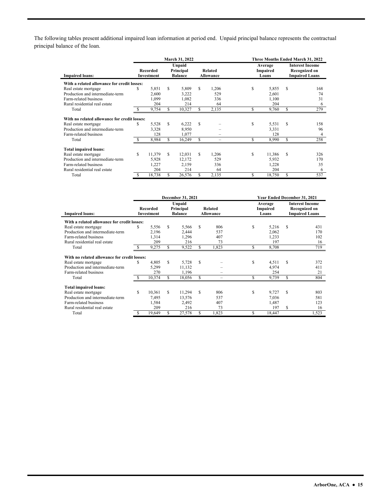The following tables present additional impaired loan information at period end. Unpaid principal balance represents the contractual principal balance of the loan.

|                                              |               |                               |    | March 31, 2022                        |    |                             | Three Months Ended March 31, 2022 |                              |                                                                  |     |  |  |
|----------------------------------------------|---------------|-------------------------------|----|---------------------------------------|----|-----------------------------|-----------------------------------|------------------------------|------------------------------------------------------------------|-----|--|--|
| <b>Impaired loans:</b>                       |               | Recorded<br><b>Investment</b> |    | Unpaid<br>Principal<br><b>Balance</b> |    | Related<br><b>Allowance</b> |                                   | Average<br>Impaired<br>Loans | <b>Interest Income</b><br>Recognized on<br><b>Impaired Loans</b> |     |  |  |
| With a related allowance for credit losses:  |               |                               |    |                                       |    |                             |                                   |                              |                                                                  |     |  |  |
| Real estate mortgage                         | S             | 5,851                         | S  | 5,809                                 | S  | 1,206                       | S                                 | 5,855                        | S                                                                | 168 |  |  |
| Production and intermediate-term             |               | 2,600                         |    | 3,222                                 |    | 529                         |                                   | 2,601                        |                                                                  | 74  |  |  |
| Farm-related business                        |               | 1,099                         |    | 1.082                                 |    | 336                         |                                   | 1,100                        |                                                                  | 31  |  |  |
| Rural residential real estate                |               | 204                           |    | 214                                   |    | 64                          |                                   | 204                          |                                                                  | 6   |  |  |
| Total                                        |               | 9,754                         | S. | 10,327                                | S. | 2,135                       | \$                                | 9,760                        | S                                                                | 279 |  |  |
| With no related allowance for credit losses: |               |                               |    |                                       |    |                             |                                   |                              |                                                                  |     |  |  |
| Real estate mortgage                         | S             | 5,528                         | S  | 6,222                                 | S  |                             | \$                                | 5,531                        | S                                                                | 158 |  |  |
| Production and intermediate-term             |               | 3,328                         |    | 8,950                                 |    |                             |                                   | 3,331                        |                                                                  | 96  |  |  |
| Farm-related business                        |               | 128                           |    | 1,077                                 |    | -                           |                                   | 128                          |                                                                  | 4   |  |  |
| Total                                        |               | 8,984                         | S  | 16,249                                | S  | $\overline{\phantom{0}}$    | \$                                | 8,990                        | S                                                                | 258 |  |  |
| <b>Total impaired loans:</b>                 |               |                               |    |                                       |    |                             |                                   |                              |                                                                  |     |  |  |
| Real estate mortgage                         | S             | 11.379                        | S  | 12.031                                | S  | 1.206                       | \$                                | 11.386                       | S                                                                | 326 |  |  |
| Production and intermediate-term             |               | 5,928                         |    | 12,172                                |    | 529                         |                                   | 5.932                        |                                                                  | 170 |  |  |
| Farm-related business                        |               | 1,227                         |    | 2,159                                 |    | 336                         |                                   | 1,228                        |                                                                  | 35  |  |  |
| Rural residential real estate                |               | 204                           |    | 214                                   |    | 64                          |                                   | 204                          |                                                                  | 6   |  |  |
| Total                                        | <sup>\$</sup> | 18,738                        | S  | 26,576                                | S  | 2.135                       | \$                                | 18,750                       | S                                                                | 537 |  |  |

|                                              |                        |        |                                       | December 31, 2021 |    |                             | Year Ended December 31, 2021 |        |                                                                  |       |  |
|----------------------------------------------|------------------------|--------|---------------------------------------|-------------------|----|-----------------------------|------------------------------|--------|------------------------------------------------------------------|-------|--|
| <b>Impaired loans:</b>                       | Recorded<br>Investment |        | Unpaid<br>Principal<br><b>Balance</b> |                   |    | Related<br><b>Allowance</b> | Average<br>Impaired<br>Loans |        | <b>Interest Income</b><br>Recognized on<br><b>Impaired Loans</b> |       |  |
| With a related allowance for credit losses:  |                        |        |                                       |                   |    |                             |                              |        |                                                                  |       |  |
| Real estate mortgage                         | \$                     | 5,556  | S                                     | 5,566             | S. | 806                         | \$                           | 5,216  | S                                                                | 431   |  |
| Production and intermediate-term             |                        | 2,196  |                                       | 2.444             |    | 537                         |                              | 2,062  |                                                                  | 170   |  |
| Farm-related business                        |                        | 1,314  |                                       | 1,296             |    | 407                         |                              | 1,233  |                                                                  | 102   |  |
| Rural residential real estate                |                        | 209    |                                       | 216               |    | 73                          |                              | 197    |                                                                  | 16    |  |
| Total                                        |                        | 9,275  | S                                     | 9,522             |    | 1,823                       | \$                           | 8,708  |                                                                  | 719   |  |
| With no related allowance for credit losses: |                        |        |                                       |                   |    |                             |                              |        |                                                                  |       |  |
| Real estate mortgage                         | S                      | 4.805  | S                                     | 5,728             | S. |                             | \$                           | 4,511  | \$.                                                              | 372   |  |
| Production and intermediate-term             |                        | 5,299  |                                       | 11,132            |    |                             |                              | 4,974  |                                                                  | 411   |  |
| Farm-related business                        |                        | 270    |                                       | 1,196             |    |                             |                              | 254    |                                                                  | 21    |  |
| Total                                        | \$.                    | 10,374 | S.                                    | 18,056            | \$ |                             | S                            | 9,739  | S                                                                | 804   |  |
| <b>Total impaired loans:</b>                 |                        |        |                                       |                   |    |                             |                              |        |                                                                  |       |  |
| Real estate mortgage                         | S                      | 10.361 | S                                     | 11,294            | S  | 806                         | \$                           | 9,727  | S                                                                | 803   |  |
| Production and intermediate-term             |                        | 7,495  |                                       | 13,576            |    | 537                         |                              | 7,036  |                                                                  | 581   |  |
| Farm-related business                        |                        | 1,584  |                                       | 2,492             |    | 407                         |                              | 1,487  |                                                                  | 123   |  |
| Rural residential real estate                |                        | 209    |                                       | 216               |    | 73                          |                              | 197    | \$                                                               | 16    |  |
| Total                                        | \$.                    | 19,649 | S                                     | 27,578            | \$ | 1,823                       | \$                           | 18,447 |                                                                  | 1,523 |  |

l,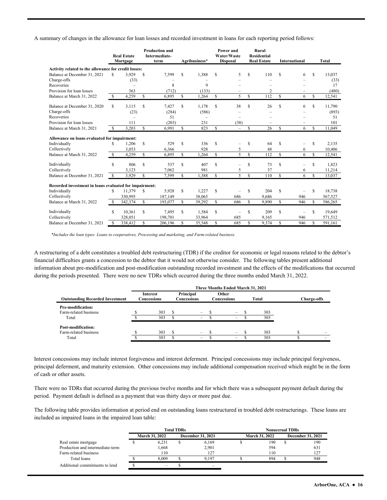A summary of changes in the allowance for loan losses and recorded investment in loans for each reporting period follows:

|                                                        |               | <b>Real Estate</b><br>Mortgage |               | <b>Production and</b><br><b>Intermediate-</b><br>term |              | Agribusiness*            |               | Power and<br>Water/Waste<br><b>Disposal</b> |              | Rural<br><b>Residential</b><br><b>Real Estate</b> |    | International |               | Total   |
|--------------------------------------------------------|---------------|--------------------------------|---------------|-------------------------------------------------------|--------------|--------------------------|---------------|---------------------------------------------|--------------|---------------------------------------------------|----|---------------|---------------|---------|
| Activity related to the allowance for credit losses:   |               |                                |               |                                                       |              |                          |               |                                             |              |                                                   |    |               |               |         |
| Balance at December 31, 2021                           | S.            | 3,929                          | \$            | 7,599                                                 | S            | 1.388                    | S             | 5                                           | S            | 110                                               | S  | 6             | S             | 13.037  |
| Charge-offs                                            |               | (33)                           |               |                                                       |              |                          |               |                                             |              |                                                   |    |               |               | (33)    |
| Recoveries                                             |               |                                |               | 8                                                     |              | 9                        |               |                                             |              |                                                   |    |               |               | 17      |
| Provision for loan losses                              |               | 363                            |               | (712)                                                 |              | (133)                    |               |                                             |              | 2                                                 |    |               |               | (480)   |
| Balance at March 31, 2022                              | S             | 4.259                          | $\mathbb{S}$  | 6.895                                                 | S            | 1.264                    | <sup>\$</sup> | 5                                           | S            | 112                                               | S  | 6             | S             | 12,541  |
| Balance at December 31, 2020                           | \$.           | 3,115                          | S             | 7,427                                                 | S            | 1,178                    | S             | 38                                          | S            | 26                                                | S  | 6             | <b>S</b>      | 11,790  |
| Charge-offs                                            |               | (23)                           |               | (284)                                                 |              | (586)                    |               |                                             |              |                                                   |    |               |               | (893)   |
| Recoveries                                             |               |                                |               | 51                                                    |              | $\overline{\phantom{0}}$ |               |                                             |              |                                                   |    |               |               | 51      |
| Provision for loan losses                              |               | 111                            |               | (203)                                                 |              | 231                      |               | (38)                                        |              |                                                   |    |               |               | 101     |
| Balance at March 31, 2021                              | S             | 3.203                          | S             | 6.991                                                 | S            | 823                      | S             | $\overline{\phantom{m}}$                    | S            | 26                                                | \$ | 6             | <sup>\$</sup> | 11.049  |
| Allowance on loans evaluated for impairment:           |               |                                |               |                                                       |              |                          |               |                                             |              |                                                   |    |               |               |         |
| Individually                                           | S             | 1,206                          | \$            | 529                                                   | S            | 336                      | S             |                                             | S            | 64                                                | S  |               | S             | 2.135   |
| Collectively                                           |               | 3.053                          |               | 6,366                                                 |              | 928                      |               | 5                                           |              | 48                                                |    | 6             |               | 10,406  |
| Balance at March 31, 2022                              | <sup>\$</sup> | 4,259                          | \$            | 6,895                                                 | $\mathbb{S}$ | 1,264                    | <sup>\$</sup> | 5                                           | S            | 112                                               | \$ | 6             | <sup>\$</sup> | 12,541  |
| Individually                                           | S             | 806                            | S             | 537                                                   | \$           | 407                      | S             |                                             | \$           | 73                                                | \$ |               | S             | 1.823   |
| Collectively                                           |               | 3,123                          |               | 7,062                                                 |              | 981                      |               | 5                                           |              | 37                                                |    | 6             |               | 11,214  |
| Balance at December 31, 2021                           | \$            | 3,929                          | S             | 7,599                                                 | S            | 1.388                    | S             | 5                                           | $\mathbb{S}$ | 110                                               | \$ | 6             | $\mathcal{S}$ | 13.037  |
| Recorded investment in loans evaluated for impairment: |               |                                |               |                                                       |              |                          |               |                                             |              |                                                   |    |               |               |         |
| Individually                                           | \$.           | 11,379                         | \$            | 5,928                                                 | \$           | 1,227                    | \$            |                                             | S            | 204                                               | \$ |               | S             | 18,738  |
| Collectively                                           |               | 330,995                        |               | 187,149                                               |              | 38,065                   |               | 686                                         |              | 9,686                                             |    | 946           |               | 567,527 |
| Balance at March 31, 2022                              | S             | 342,374                        | <sup>\$</sup> | 193,077                                               | \$           | 39,292                   | \$            | 686                                         | S            | 9,890                                             | \$ | 946           | S             | 586,265 |
| Individually                                           | \$.           | 10,361                         | \$            | 7,495                                                 | \$           | 1,584                    | S             | $\overline{\phantom{m}}$                    | \$           | 209                                               | S  |               | S             | 19,649  |
| Collectively                                           |               | 328,051                        |               | 198.701                                               |              | 33,964                   |               | 685                                         |              | 9.165                                             |    | 946           |               | 571,512 |
| Balance at December 31, 2021                           | \$.           | 338,412                        | $\mathbb{S}$  | 206.196                                               | \$           | 35,548                   | $\mathbb{S}$  | 685                                         | \$           | 9.374                                             | \$ | 946           | \$.           | 591.161 |

*\*Includes the loan types: Loans to cooperatives, Processing and marketing, and Farm-related business.* 

A restructuring of a debt constitutes a troubled debt restructuring (TDR) if the creditor for economic or legal reasons related to the debtor's financial difficulties grants a concession to the debtor that it would not otherwise consider. The following tables present additional information about pre-modification and post-modification outstanding recorded investment and the effects of the modifications that occurred during the periods presented. There were no new TDRs which occurred during the three months ended March 31, 2022.

|                                        | Three Months Ended March 31, 2021 |                                |  |                          |  |                          |  |       |                    |  |  |
|----------------------------------------|-----------------------------------|--------------------------------|--|--------------------------|--|--------------------------|--|-------|--------------------|--|--|
| <b>Outstanding Recorded Investment</b> |                                   | <b>Interest</b><br>Concessions |  | Principal<br>Concessions |  | Other<br>Concessions     |  | Total | <b>Charge-offs</b> |  |  |
| Pre-modification:                      |                                   |                                |  |                          |  |                          |  |       |                    |  |  |
| Farm-related business                  |                                   | 303                            |  | $\overline{\phantom{0}}$ |  | $\overline{\phantom{a}}$ |  | 303   |                    |  |  |
| Total                                  |                                   | 303                            |  | $\overline{\phantom{m}}$ |  | $\overline{\phantom{0}}$ |  | 303   |                    |  |  |
| <b>Post-modification:</b>              |                                   |                                |  |                          |  |                          |  |       |                    |  |  |
| Farm-related business                  |                                   | 303                            |  | $\overline{\phantom{0}}$ |  |                          |  | 303   |                    |  |  |
| Total                                  |                                   | 303                            |  | $\overline{\phantom{0}}$ |  | $-$                      |  | 303   |                    |  |  |

 Interest concessions may include interest forgiveness and interest deferment. Principal concessions may include principal forgiveness, principal deferment, and maturity extension. Other concessions may include additional compensation received which might be in the form of cash or other assets.

There were no TDRs that occurred during the previous twelve months and for which there was a subsequent payment default during the period. Payment default is defined as a payment that was thirty days or more past due.

 included as impaired loans in the impaired loan table: The following table provides information at period end on outstanding loans restructured in troubled debt restructurings. These loans are

|                                  |                       | <b>Total TDRs</b> |                          | <b>Nonaccrual TDRs</b> |                       |  |                          |  |
|----------------------------------|-----------------------|-------------------|--------------------------|------------------------|-----------------------|--|--------------------------|--|
|                                  | <b>March 31, 2022</b> |                   | <b>December 31, 2021</b> |                        | <b>March 31, 2022</b> |  | <b>December 31, 2021</b> |  |
| Real estate mortgage             | 6.231                 |                   | 6.169                    |                        | 190                   |  | 190                      |  |
| Production and intermediate-term | 1,668                 |                   | 2.901                    |                        | 594                   |  | 631                      |  |
| Farm-related business            | 110                   |                   | 127                      |                        | 110                   |  | 127                      |  |
| Total loans                      | 8.009                 |                   | 9.197                    |                        | 894                   |  | 948                      |  |
| Additional commitments to lend   |                       |                   |                          |                        |                       |  |                          |  |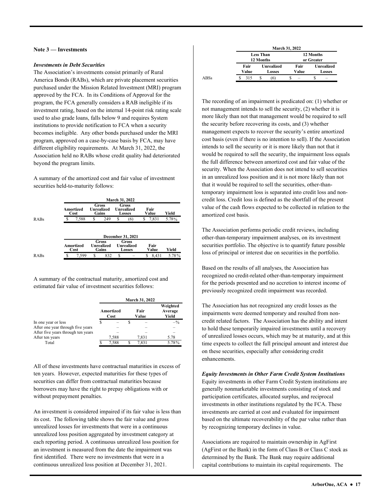#### **Note 3 — Investments**

#### *Investments in Debt Securities*

 institutions to provide notification to FCA when a security The Association's investments consist primarily of Rural America Bonds (RABs), which are private placement securities purchased under the Mission Related Investment (MRI) program approved by the FCA. In its Conditions of Approval for the program, the FCA generally considers a RAB ineligible if its investment rating, based on the internal 14-point risk rating scale used to also grade loans, falls below 9 and requires System becomes ineligible. Any other bonds purchased under the MRI program, approved on a case-by-case basis by FCA, may have different eligibility requirements. At March 31, 2022, the Association held no RABs whose credit quality had deteriorated beyond the program limits.

A summary of the amortized cost and fair value of investment securities held-to-maturity follows:

|                                                                                                                |                   |   |                                            |   | <b>March 31, 2022</b>                       |               |               |       |
|----------------------------------------------------------------------------------------------------------------|-------------------|---|--------------------------------------------|---|---------------------------------------------|---------------|---------------|-------|
| <b>Gross</b><br><b>Gross</b><br><b>Unrealized</b><br>Amortized<br><b>Unrealized</b><br>Gains<br>Cost<br>Losses |                   |   |                                            |   |                                             | Fair<br>Value | Yield         |       |
| <b>S</b>                                                                                                       | 7,588             | S | 249                                        | S | (6)                                         | S             | 7,831         | 5.78% |
|                                                                                                                |                   |   |                                            |   |                                             |               |               |       |
|                                                                                                                |                   |   |                                            |   | December 31, 2021                           |               |               |       |
|                                                                                                                | Amortized<br>Cost |   | <b>Gross</b><br><b>Unrealized</b><br>Gains |   | Gross<br><b>Unrealized</b><br><b>Losses</b> |               | Fair<br>Value | Yield |

A summary of the contractual maturity, amortized cost and estimated fair value of investment securities follows:

|                                    |                   | <b>March 31, 2022</b>        |       |
|------------------------------------|-------------------|------------------------------|-------|
|                                    | Amortized<br>Cost | Weighted<br>Average<br>Yield |       |
| In one year or less                |                   |                              | $-$ % |
| After one year through five years  |                   |                              |       |
| After five years through ten years |                   |                              |       |
| After ten years                    | 7.588             | 7,831                        | 5.78  |
| Total                              | 7.588             | 7.831                        | 5.78% |

All of these investments have contractual maturities in excess of ten years. However, expected maturities for these types of securities can differ from contractual maturities because borrowers may have the right to prepay obligations with or without prepayment penalties.

 first identified. There were no investments that were in a An investment is considered impaired if its fair value is less than its cost. The following table shows the fair value and gross unrealized losses for investments that were in a continuous unrealized loss position aggregated by investment category at each reporting period. A continuous unrealized loss position for an investment is measured from the date the impairment was continuous unrealized loss position at December 31, 2021.

|      |               |                                    | <b>March 31, 2022</b> |                                    |
|------|---------------|------------------------------------|-----------------------|------------------------------------|
|      |               | <b>Less Than</b><br>12 Months      |                       | 12 Months<br>or Greater            |
|      | Fair<br>Value | <b>Unrealized</b><br><b>Losses</b> | Fair<br>Value         | <b>Unrealized</b><br><b>Losses</b> |
| ABSs | 315           |                                    |                       | -                                  |

 not management intends to sell the security, (2) whether it is that it would be required to sell the securities, other-than-The recording of an impairment is predicated on: (1) whether or more likely than not that management would be required to sell the security before recovering its costs, and (3) whether management expects to recover the security's entire amortized cost basis (even if there is no intention to sell). If the Association intends to sell the security or it is more likely than not that it would be required to sell the security, the impairment loss equals the full difference between amortized cost and fair value of the security. When the Association does not intend to sell securities in an unrealized loss position and it is not more likely than not temporary impairment loss is separated into credit loss and noncredit loss. Credit loss is defined as the shortfall of the present value of the cash flows expected to be collected in relation to the amortized cost basis.

The Association performs periodic credit reviews, including other-than-temporary impairment analyses, on its investment securities portfolio. The objective is to quantify future possible loss of principal or interest due on securities in the portfolio.

Based on the results of all analyses, the Association has recognized no credit-related other-than-temporary impairment for the periods presented and no accretion to interest income of previously recognized credit impairment was recorded.

The Association has not recognized any credit losses as the impairments were deemed temporary and resulted from noncredit related factors. The Association has the ability and intent to hold these temporarily impaired investments until a recovery of unrealized losses occurs, which may be at maturity, and at this time expects to collect the full principal amount and interest due on these securities, especially after considering credit enhancements.

#### *Equity Investments in Other Farm Credit System Institutions*  Equity investments in other Farm Credit System institutions are generally nonmarketable investments consisting of stock and participation certificates, allocated surplus, and reciprocal investments in other institutions regulated by the FCA. These investments are carried at cost and evaluated for impairment based on the ultimate recoverability of the par value rather than by recognizing temporary declines in value.

 capital contributions to maintain its capital requirements. The Associations are required to maintain ownership in AgFirst (AgFirst or the Bank) in the form of Class B or Class C stock as determined by the Bank. The Bank may require additional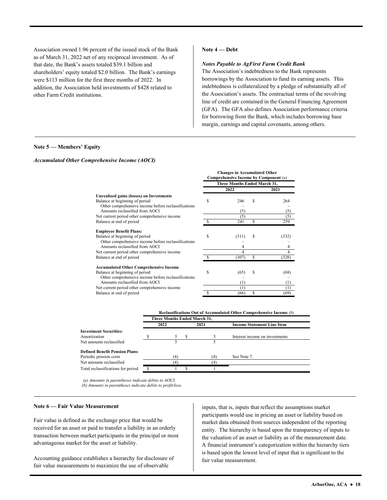shareholders' equity totaled \$2.0 billion. The Bank's earnings Association owned 1.96 percent of the issued stock of the Bank as of March 31, 2022 net of any reciprocal investment. As of that date, the Bank's assets totaled \$39.1 billion and were \$113 million for the first three months of 2022. In addition, the Association held investments of \$428 related to other Farm Credit institutions.

#### **Note 4 — Debt**

#### *Notes Payable to AgFirst Farm Credit Bank*

The Association's indebtedness to the Bank represents borrowings by the Association to fund its earning assets. This indebtedness is collateralized by a pledge of substantially all of the Association's assets. The contractual terms of the revolving line of credit are contained in the General Financing Agreement (GFA). The GFA also defines Association performance criteria for borrowing from the Bank, which includes borrowing base margin, earnings and capital covenants, among others.

#### **Note 5 — Members' Equity**

#### *Accumulated Other Comprehensive Income (AOCI)*

|                                                     |                              | <b>Changes in Accumulated Other</b><br>Comprehensive Income by Component (a) |   |          |  |  |  |
|-----------------------------------------------------|------------------------------|------------------------------------------------------------------------------|---|----------|--|--|--|
|                                                     | Three Months Ended March 31, |                                                                              |   |          |  |  |  |
|                                                     |                              | 2022                                                                         |   | 2021     |  |  |  |
| Unrealized gains (losses) on Investments            |                              |                                                                              |   |          |  |  |  |
| Balance at beginning of period                      | S                            | 246                                                                          | S | 264      |  |  |  |
| Other comprehensive income before reclassifications |                              |                                                                              |   |          |  |  |  |
| Amounts reclassified from AOCI                      |                              | (5)                                                                          |   | (5)      |  |  |  |
| Net current period other comprehensive income       |                              | (5)                                                                          |   | (5)      |  |  |  |
| Balance at end of period                            |                              | 241                                                                          | S | 259      |  |  |  |
| <b>Employee Benefit Plans:</b>                      |                              |                                                                              |   |          |  |  |  |
| Balance at beginning of period                      | \$                           | (311)                                                                        | S | (332)    |  |  |  |
| Other comprehensive income before reclassifications |                              |                                                                              |   |          |  |  |  |
| Amounts reclassified from AOCI                      |                              |                                                                              |   | 4        |  |  |  |
| Net current period other comprehensive income       |                              | 4                                                                            |   | 4        |  |  |  |
| Balance at end of period                            |                              | (307)                                                                        | S | (328)    |  |  |  |
| <b>Accumulated Other Comprehensive Income</b>       |                              |                                                                              |   |          |  |  |  |
| Balance at beginning of period                      | S                            | (65)                                                                         | S | (68)     |  |  |  |
| Other comprehensive income before reclassifications |                              |                                                                              |   |          |  |  |  |
| Amounts reclassified from AOCI                      |                              | (1)                                                                          |   | $^{(1)}$ |  |  |  |
| Net current period other comprehensive income       |                              | (1)                                                                          |   | (1)      |  |  |  |
| Balance at end of period                            |                              | (66)                                                                         | S | (69)     |  |  |  |

| Reclassifications Out of Accumulated Other Comprehensive Income (b) |
|---------------------------------------------------------------------|
|---------------------------------------------------------------------|

|                                       |      | Three Months Ended March 31, |    |      |                                   |  |
|---------------------------------------|------|------------------------------|----|------|-----------------------------------|--|
|                                       | 2022 |                              |    | 2021 | <b>Income Statement Line Item</b> |  |
| <b>Investment Securities:</b>         |      |                              |    |      |                                   |  |
| Amortization                          |      |                              | -S |      | Interest income on investments    |  |
| Net amounts reclassified              |      |                              |    |      |                                   |  |
| <b>Defined Benefit Pension Plans:</b> |      |                              |    |      |                                   |  |
| Periodic pension costs                |      | (4)                          |    | (4)  | See Note 7.                       |  |
| Net amounts reclassified              |      | 4                            |    | 4    |                                   |  |
| Total reclassifications for period    |      |                              |    |      |                                   |  |
|                                       |      |                              |    |      |                                   |  |

 *(a) Amounts in parentheses indicate debits to AOCI. (b) Amounts in parentheses indicate debits to profit/loss*.

#### **Note 6 — Fair Value Measurement**

Fair value is defined as the exchange price that would be received for an asset or paid to transfer a liability in an orderly transaction between market participants in the principal or most advantageous market for the asset or liability.

Accounting guidance establishes a hierarchy for disclosure of fair value measurements to maximize the use of observable

inputs, that is, inputs that reflect the assumptions market participants would use in pricing an asset or liability based on market data obtained from sources independent of the reporting entity. The hierarchy is based upon the transparency of inputs to the valuation of an asset or liability as of the measurement date. A financial instrument's categorization within the hierarchy tiers is based upon the lowest level of input that is significant to the fair value measurement.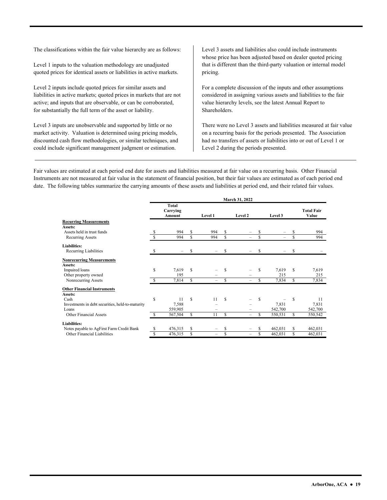The classifications within the fair value hierarchy are as follows:

Level 1 inputs to the valuation methodology are unadjusted quoted prices for identical assets or liabilities in active markets.

Level 2 inputs include quoted prices for similar assets and liabilities in active markets; quoted prices in markets that are not active; and inputs that are observable, or can be corroborated, for substantially the full term of the asset or liability.

 Level 3 inputs are unobservable and supported by little or no market activity. Valuation is determined using pricing models, discounted cash flow methodologies, or similar techniques, and could include significant management judgment or estimation.

Level 3 assets and liabilities also could include instruments whose price has been adjusted based on dealer quoted pricing that is different than the third-party valuation or internal model pricing. For a complete discussion of the inputs and other assumptions

considered in assigning various assets and liabilities to the fair value hierarchy levels, see the latest Annual Report to Shareholders.

There were no Level 3 assets and liabilities measured at fair value on a recurring basis for the periods presented. The Association had no transfers of assets or liabilities into or out of Level 1 or Level 2 during the periods presented.

 date. The following tables summarize the carrying amounts of these assets and liabilities at period end, and their related fair values. Fair values are estimated at each period end date for assets and liabilities measured at fair value on a recurring basis. Other Financial Instruments are not measured at fair value in the statement of financial position, but their fair values are estimated as of each period end

|                                                  |     |                                    |    |         |     | March 31, 2022           |     |          |    |                            |
|--------------------------------------------------|-----|------------------------------------|----|---------|-----|--------------------------|-----|----------|----|----------------------------|
|                                                  |     | <b>Total</b><br>Carrying<br>Amount |    | Level 1 |     | Level 2                  |     | Level 3  |    | <b>Total Fair</b><br>Value |
| <b>Recurring Measurements</b>                    |     |                                    |    |         |     |                          |     |          |    |                            |
| Assets:                                          |     |                                    |    |         |     |                          |     |          |    |                            |
| Assets held in trust funds                       |     | 994                                | S  | 994     | S   |                          | S   |          |    | 994                        |
| Recurring Assets                                 |     | 994                                | S  | 994     | S   | -                        | S   | $\equiv$ | S  | 994                        |
| <b>Liabilities:</b>                              |     |                                    |    |         |     |                          |     |          |    |                            |
| Recurring Liabilities                            | S   |                                    | S  |         | S   |                          | S   |          | \$ |                            |
| <b>Nonrecurring Measurements</b><br>Assets:      |     |                                    |    |         |     |                          |     |          |    |                            |
| Impaired loans                                   | S   | 7,619                              | \$ |         | S   |                          | S   | 7,619    | S  | 7,619                      |
| Other property owned                             |     | 195                                |    |         |     |                          |     | 215      |    | 215                        |
| Nonrecurring Assets                              |     | 7,814                              | S  |         | S   |                          | S   | 7,834    | S  | 7,834                      |
| <b>Other Financial Instruments</b>               |     |                                    |    |         |     |                          |     |          |    |                            |
| Assets:                                          |     |                                    |    |         |     |                          |     |          |    |                            |
| Cash                                             | S   | 11                                 | S  | 11      | \$. | -                        | S   | -        | S  | 11                         |
| Investments in debt securities, held-to-maturity |     | 7,588                              |    |         |     |                          |     | 7,831    |    | 7,831                      |
| Loans                                            |     | 559,905                            |    |         |     |                          |     | 542,700  |    | 542,700                    |
| Other Financial Assets                           | \$. | 567,504                            | S  | 11      | S   | -                        | \$. | 550,531  | S  | 550,542                    |
| <b>Liabilities:</b>                              |     |                                    |    |         |     |                          |     |          |    |                            |
| Notes payable to AgFirst Farm Credit Bank        | \$  | 476,315                            | S  | -       | S   | -                        | S   | 462,031  | \$ | 462,031                    |
| Other Financial Liabilities                      | S   | 476,315                            | S  | -       | \$  | $\overline{\phantom{0}}$ | \$  | 462,031  | S  | 462,031                    |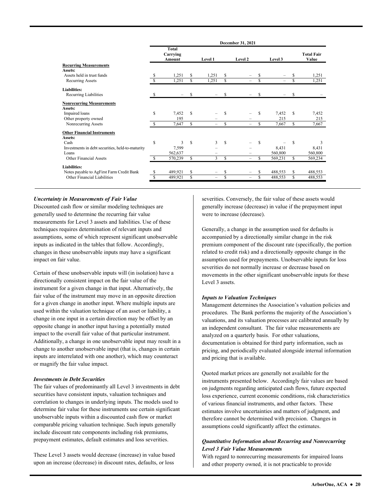|    | December 31, 2021                                |                  |                |       |                          |               |          |         |                            |
|----|--------------------------------------------------|------------------|----------------|-------|--------------------------|---------------|----------|---------|----------------------------|
|    | Total<br>Carrying<br>Amount                      |                  | <b>Level 1</b> |       | Level 2                  |               | Level 3  |         | <b>Total Fair</b><br>Value |
|    |                                                  |                  |                |       |                          |               |          |         |                            |
|    |                                                  |                  |                |       |                          |               |          |         |                            |
|    |                                                  | S                |                |       |                          | S             |          | S       | 1,251                      |
| S  | 1,251                                            | \$               | 1,251          | \$    |                          | S             | $\equiv$ | S       | 1,251                      |
|    |                                                  |                  |                |       |                          |               |          |         |                            |
| S  |                                                  | S                |                | \$    |                          | \$            |          | \$      |                            |
|    |                                                  |                  |                |       |                          |               |          |         |                            |
|    |                                                  |                  |                |       |                          |               |          |         |                            |
| S  | 7,452                                            | \$               |                | S     |                          | S             | 7,452    | \$      | 7,452                      |
|    | 195                                              |                  |                |       |                          |               | 215      |         | 215                        |
| S  | 7,647                                            | S                | -              | S     | $\overline{\phantom{0}}$ | \$            | 7,667    | \$      | 7,667                      |
|    |                                                  |                  |                |       |                          |               |          |         |                            |
|    |                                                  |                  |                |       |                          |               |          |         |                            |
| \$ | 3                                                | S                | 3              | \$    |                          | <sup>\$</sup> |          | \$      | 3                          |
|    | 7,599                                            |                  |                |       |                          |               | 8,431    |         | 8,431                      |
|    | 562,637                                          |                  |                |       |                          |               | 560,800  |         | 560,800                    |
| S  | 570,239                                          | \$               | 3              | S     | $\overline{\phantom{0}}$ | S             | 569,231  | S       | 569,234                    |
|    |                                                  |                  |                |       |                          |               |          |         |                            |
| S  | 489,921                                          | S                |                | \$    | -                        | S             | 488,553  | S       | 488,553                    |
| S  |                                                  | S                | -              | \$    | -                        | S             |          | S       | 488,553                    |
|    | Investments in debt securities, held-to-maturity | 1,251<br>489,921 |                | 1,251 | S                        |               |          | 488,553 |                            |

#### *Uncertainty in Measurements of Fair Value*

Discounted cash flow or similar modeling techniques are generally used to determine the recurring fair value measurements for Level 3 assets and liabilities. Use of these techniques requires determination of relevant inputs and assumptions, some of which represent significant unobservable inputs as indicated in the tables that follow. Accordingly, changes in these unobservable inputs may have a significant impact on fair value.

 inputs are interrelated with one another), which may counteract Certain of these unobservable inputs will (in isolation) have a directionally consistent impact on the fair value of the instrument for a given change in that input. Alternatively, the fair value of the instrument may move in an opposite direction for a given change in another input. Where multiple inputs are used within the valuation technique of an asset or liability, a change in one input in a certain direction may be offset by an opposite change in another input having a potentially muted impact to the overall fair value of that particular instrument. Additionally, a change in one unobservable input may result in a change to another unobservable input (that is, changes in certain or magnify the fair value impact.

#### *Investments in Debt Securities*

 prepayment estimates, default estimates and loss severities. The fair values of predominantly all Level 3 investments in debt securities have consistent inputs, valuation techniques and correlation to changes in underlying inputs. The models used to determine fair value for these instruments use certain significant unobservable inputs within a discounted cash flow or market comparable pricing valuation technique. Such inputs generally include discount rate components including risk premiums,

These Level 3 assets would decrease (increase) in value based upon an increase (decrease) in discount rates, defaults, or loss

severities. Conversely, the fair value of these assets would generally increase (decrease) in value if the prepayment input were to increase (decrease).

Generally, a change in the assumption used for defaults is accompanied by a directionally similar change in the risk premium component of the discount rate (specifically, the portion related to credit risk) and a directionally opposite change in the assumption used for prepayments. Unobservable inputs for loss severities do not normally increase or decrease based on movements in the other significant unobservable inputs for these Level 3 assets.

#### *Inputs to Valuation Techniques*

 valuations, and its valuation processes are calibrated annually by Management determines the Association's valuation policies and procedures. The Bank performs the majority of the Association's an independent consultant. The fair value measurements are analyzed on a quarterly basis. For other valuations, documentation is obtained for third party information, such as pricing, and periodically evaluated alongside internal information and pricing that is available.

 of various financial instruments, and other factors. These Quoted market prices are generally not available for the instruments presented below. Accordingly fair values are based on judgments regarding anticipated cash flows, future expected loss experience, current economic conditions, risk characteristics estimates involve uncertainties and matters of judgment, and therefore cannot be determined with precision. Changes in assumptions could significantly affect the estimates.

#### *Quantitative Information about Recurring and Nonrecurring Level 3 Fair Value Measurements*

With regard to nonrecurring measurements for impaired loans and other property owned, it is not practicable to provide